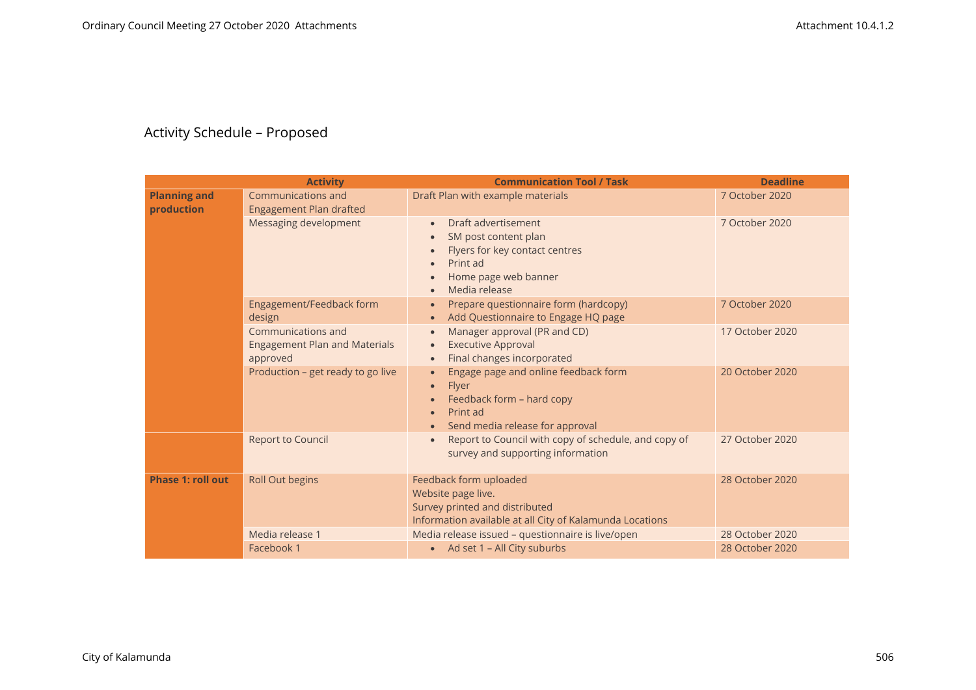## Activity Schedule – Proposed

|                                   | <b>Activity</b>                                                        | <b>Communication Tool / Task</b>                                                                                                                                                                                 | <b>Deadline</b> |
|-----------------------------------|------------------------------------------------------------------------|------------------------------------------------------------------------------------------------------------------------------------------------------------------------------------------------------------------|-----------------|
| <b>Planning and</b><br>production | Communications and<br>Engagement Plan drafted                          | Draft Plan with example materials                                                                                                                                                                                | 7 October 2020  |
|                                   | Messaging development                                                  | Draft advertisement<br>$\bullet$<br>SM post content plan<br>$\bullet$<br>Flyers for key contact centres<br>$\bullet$<br>Print ad<br>$\bullet$<br>Home page web banner<br>$\bullet$<br>Media release<br>$\bullet$ | 7 October 2020  |
|                                   | Engagement/Feedback form<br>design                                     | Prepare questionnaire form (hardcopy)<br>$\bullet$<br>Add Questionnaire to Engage HQ page<br>$\bullet$                                                                                                           | 7 October 2020  |
|                                   | Communications and<br><b>Engagement Plan and Materials</b><br>approved | Manager approval (PR and CD)<br>$\bullet$<br><b>Executive Approval</b><br>$\bullet$<br>Final changes incorporated<br>$\bullet$                                                                                   | 17 October 2020 |
|                                   | Production - get ready to go live                                      | Engage page and online feedback form<br>$\bullet$<br><b>Flyer</b><br>$\bullet$<br>Feedback form - hard copy<br>$\bullet$<br>Print ad<br>$\bullet$<br>Send media release for approval<br>$\bullet$                | 20 October 2020 |
|                                   | <b>Report to Council</b>                                               | Report to Council with copy of schedule, and copy of<br>$\bullet$<br>survey and supporting information                                                                                                           | 27 October 2020 |
| <b>Phase 1: roll out</b>          | <b>Roll Out begins</b>                                                 | Feedback form uploaded<br>Website page live.<br>Survey printed and distributed<br>Information available at all City of Kalamunda Locations                                                                       | 28 October 2020 |
|                                   | Media release 1                                                        | Media release issued - questionnaire is live/open                                                                                                                                                                | 28 October 2020 |
|                                   | Facebook 1                                                             | • Ad set 1 - All City suburbs                                                                                                                                                                                    | 28 October 2020 |